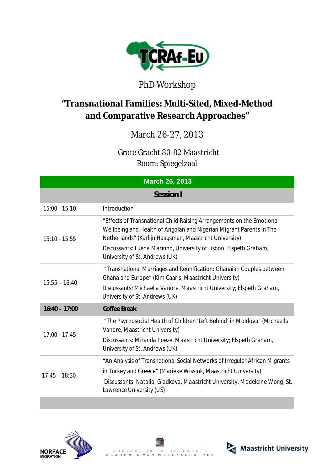

## PhD Workshop

## **"Transnational Families: Multi-Sited, Mixed-Method and Comparative Research Approaches"**

## March 26-27, 2013

(Grote Gracht 80-82 Maastricht Room: Spiegelzaal

| <b>March 26, 2013</b> |                                                                                                                                                                                                        |  |
|-----------------------|--------------------------------------------------------------------------------------------------------------------------------------------------------------------------------------------------------|--|
| Session I             |                                                                                                                                                                                                        |  |
| $15:00 - 15:10$       | <i>Introduction</i>                                                                                                                                                                                    |  |
| $15:10 - 15:55$       | "Effects of Transnational Child Raising Arrangements on the Emotional<br>Wellbeing and Health of Angolan and Nigerian Migrant Parents in The<br>Netherlands" (Karlijn Haagsman, Maastricht University) |  |
|                       | Discussants: Luena Marinho, University of Lisbon; Elspeth Graham,<br>University of St. Andrews (UK)                                                                                                    |  |
| $15:55 - 16:40$       | "Transnational Marriages and Reunification: Ghanaian Couples between<br>Ghana and Europe" (Kim Caarls, Maastricht University)                                                                          |  |
|                       | Discussants: Michaella Vanore, Maastricht University; Elspeth Graham,<br>University of St. Andrews (UK)                                                                                                |  |
| $16:40 - 17:00$       | <b>Coffee Break</b>                                                                                                                                                                                    |  |
| $17:00 - 17:45$       | "The Psychosocial Health of Children 'Left Behind' in Moldova" (Michaella<br>Vanore, Maastricht University)                                                                                            |  |
|                       | Discussants: Miranda Poeze, Maastricht University; Elspeth Graham,<br>University of St. Andrews (UK);                                                                                                  |  |
| $17:45 - 18:30$       | "An Analysis of Transnational Social Networks of Irregular African Migrants                                                                                                                            |  |
|                       | in Turkey and Greece" (Marieke Wissink, Maastricht University)                                                                                                                                         |  |
|                       | Discussants: Natalia Gladkova, Maastricht University; Madeleine Wong, St.<br>Lawrence University (US)                                                                                                  |  |